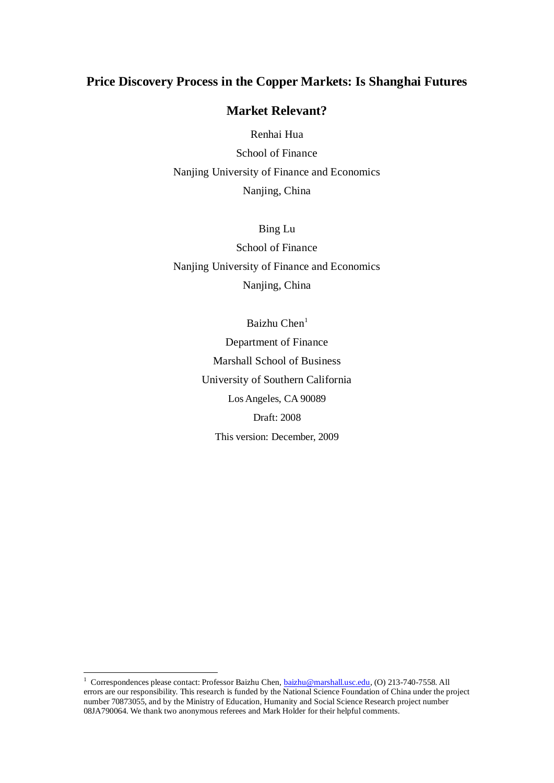# **Price Discovery Process in the Copper Markets: Is Shanghai Futures**

## **Market Relevant?**

Renhai Hua School of Finance Nanjing University of Finance and Economics Nanjing, China

Bing Lu School of Finance Nanjing University of Finance and Economics Nanjing, China

> Baizhu Chen<sup>1</sup> Department of Finance Marshall School of Business University of Southern California Los Angeles, CA 90089 Draft: 2008 This version: December, 2009

<sup>&</sup>lt;sup>1</sup> Correspondences please contact: Professor Baizhu Chen[, baizhu@marshall.usc.edu,](mailto:baizhu@marshall.usc.edu) (O) 213-740-7558. All errors are our responsibility. This research is funded by the National Science Foundation of China under the project number 70873055, and by the Ministry of Education, Humanity and Social Science Research project number 08JA790064. We thank two anonymous referees and Mark Holder for their helpful comments.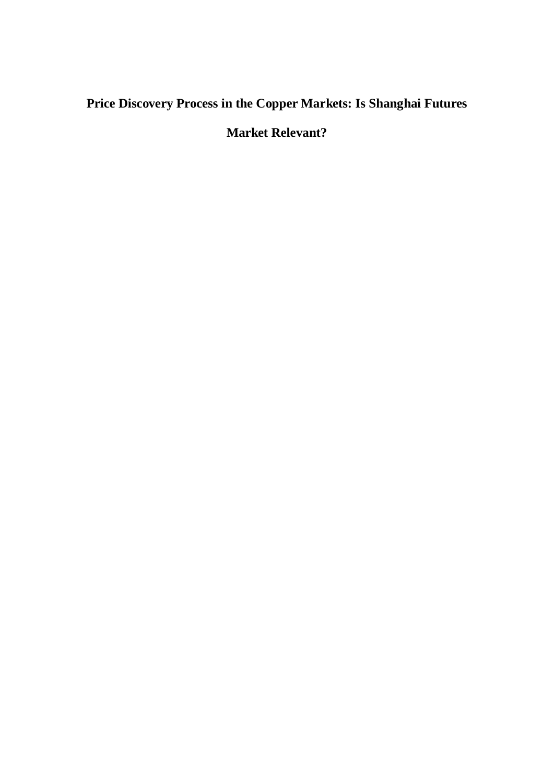# **Price Discovery Process in the Copper Markets: Is Shanghai Futures**

# **Market Relevant?**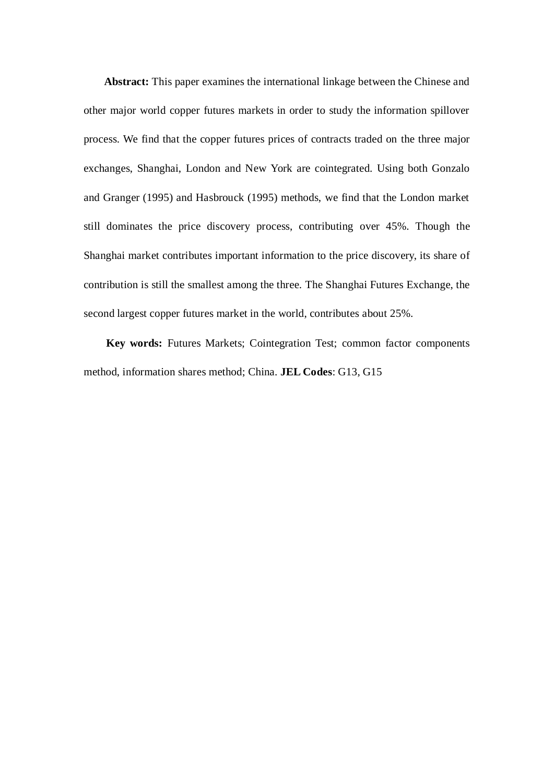**Abstract:** This paper examines the international linkage between the Chinese and other major world copper futures markets in order to study the information spillover process. We find that the copper futures prices of contracts traded on the three major exchanges, Shanghai, London and New York are cointegrated. Using both Gonzalo and Granger (1995) and Hasbrouck (1995) methods, we find that the London market still dominates the price discovery process, contributing over 45%. Though the Shanghai market contributes important information to the price discovery, its share of contribution is still the smallest among the three. The Shanghai Futures Exchange, the second largest copper futures market in the world, contributes about 25%.

**Key words:** Futures Markets; Cointegration Test; common factor components method, information shares method; China. **JEL Codes**: G13, G15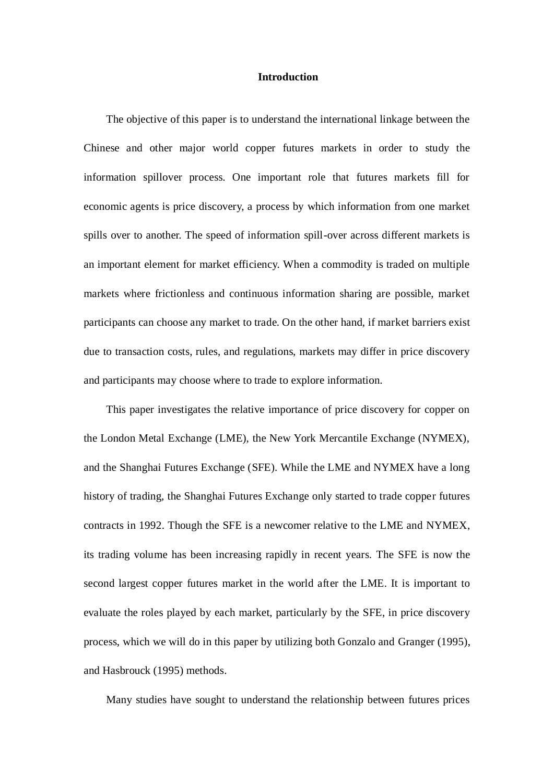## **Introduction**

The objective of this paper is to understand the international linkage between the Chinese and other major world copper futures markets in order to study the information spillover process. One important role that futures markets fill for economic agents is price discovery, a process by which information from one market spills over to another. The speed of information spill-over across different markets is an important element for market efficiency. When a commodity is traded on multiple markets where frictionless and continuous information sharing are possible, market participants can choose any market to trade. On the other hand, if market barriers exist due to transaction costs, rules, and regulations, markets may differ in price discovery and participants may choose where to trade to explore information.

This paper investigates the relative importance of price discovery for copper on the London Metal Exchange (LME), the New York Mercantile Exchange (NYMEX), and the Shanghai Futures Exchange (SFE). While the LME and NYMEX have a long history of trading, the Shanghai Futures Exchange only started to trade copper futures contracts in 1992. Though the SFE is a newcomer relative to the LME and NYMEX, its trading volume has been increasing rapidly in recent years. The SFE is now the second largest copper futures market in the world after the LME. It is important to evaluate the roles played by each market, particularly by the SFE, in price discovery process, which we will do in this paper by utilizing both Gonzalo and Granger (1995), and Hasbrouck (1995) methods.

Many studies have sought to understand the relationship between futures prices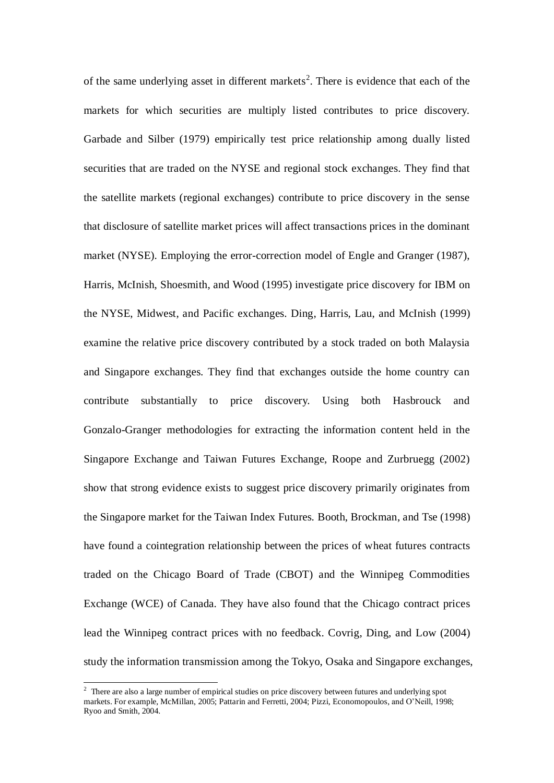of the same underlying asset in different markets<sup>2</sup>. There is evidence that each of the markets for which securities are multiply listed contributes to price discovery. Garbade and Silber (1979) empirically test price relationship among dually listed securities that are traded on the NYSE and regional stock exchanges. They find that the satellite markets (regional exchanges) contribute to price discovery in the sense that disclosure of satellite market prices will affect transactions prices in the dominant market (NYSE). Employing the error-correction model of Engle and Granger (1987), Harris, McInish, Shoesmith, and Wood (1995) investigate price discovery for IBM on the NYSE, Midwest, and Pacific exchanges. Ding, Harris, Lau, and McInish (1999) examine the relative price discovery contributed by a stock traded on both Malaysia and Singapore exchanges. They find that exchanges outside the home country can contribute substantially to price discovery. Using both Hasbrouck and Gonzalo-Granger methodologies for extracting the information content held in the Singapore Exchange and Taiwan Futures Exchange, Roope and Zurbruegg (2002) show that strong evidence exists to suggest price discovery primarily originates from the Singapore market for the Taiwan Index Futures. Booth, Brockman, and Tse (1998) have found a cointegration relationship between the prices of wheat futures contracts traded on the Chicago Board of Trade (CBOT) and the Winnipeg Commodities Exchange (WCE) of Canada. They have also found that the Chicago contract prices lead the Winnipeg contract prices with no feedback. Covrig, Ding, and Low (2004) study the information transmission among the Tokyo, Osaka and Singapore exchanges,

<sup>-</sup><sup>2</sup> There are also a large number of empirical studies on price discovery between futures and underlying spot markets. For example, McMillan, 2005; Pattarin and Ferretti, 2004; Pizzi, Economopoulos, and O'Neill, 1998; Ryoo and Smith, 2004.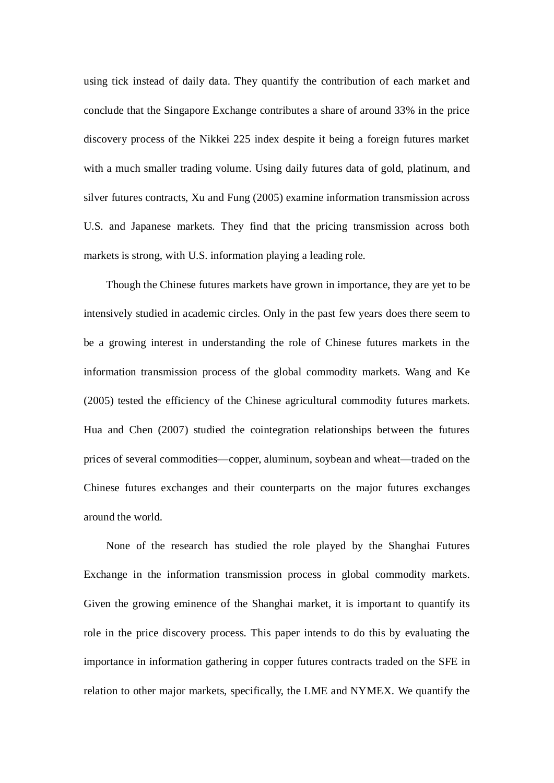using tick instead of daily data. They quantify the contribution of each market and conclude that the Singapore Exchange contributes a share of around 33% in the price discovery process of the Nikkei 225 index despite it being a foreign futures market with a much smaller trading volume. Using daily futures data of gold, platinum, and silver futures contracts, Xu and Fung (2005) examine information transmission across U.S. and Japanese markets. They find that the pricing transmission across both markets is strong, with U.S. information playing a leading role.

Though the Chinese futures markets have grown in importance, they are yet to be intensively studied in academic circles. Only in the past few years does there seem to be a growing interest in understanding the role of Chinese futures markets in the information transmission process of the global commodity markets. Wang and Ke (2005) tested the efficiency of the Chinese agricultural commodity futures markets. Hua and Chen (2007) studied the cointegration relationships between the futures prices of several commodities—copper, aluminum, soybean and wheat—traded on the Chinese futures exchanges and their counterparts on the major futures exchanges around the world.

None of the research has studied the role played by the Shanghai Futures Exchange in the information transmission process in global commodity markets. Given the growing eminence of the Shanghai market, it is important to quantify its role in the price discovery process. This paper intends to do this by evaluating the importance in information gathering in copper futures contracts traded on the SFE in relation to other major markets, specifically, the LME and NYMEX. We quantify the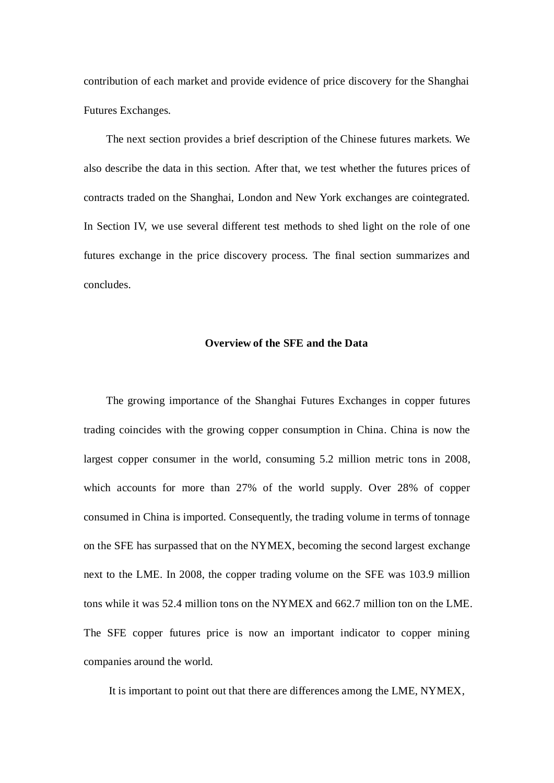contribution of each market and provide evidence of price discovery for the Shanghai Futures Exchanges.

The next section provides a brief description of the Chinese futures markets. We also describe the data in this section. After that, we test whether the futures prices of contracts traded on the Shanghai, London and New York exchanges are cointegrated. In Section IV, we use several different test methods to shed light on the role of one futures exchange in the price discovery process. The final section summarizes and concludes.

## **Overview of the SFE and the Data**

The growing importance of the Shanghai Futures Exchanges in copper futures trading coincides with the growing copper consumption in China. China is now the largest copper consumer in the world, consuming 5.2 million metric tons in 2008, which accounts for more than 27% of the world supply. Over 28% of copper consumed in China is imported. Consequently, the trading volume in terms of tonnage on the SFE has surpassed that on the NYMEX, becoming the second largest exchange next to the LME. In 2008, the copper trading volume on the SFE was 103.9 million tons while it was 52.4 million tons on the NYMEX and 662.7 million ton on the LME. The SFE copper futures price is now an important indicator to copper mining companies around the world.

It is important to point out that there are differences among the LME, NYMEX,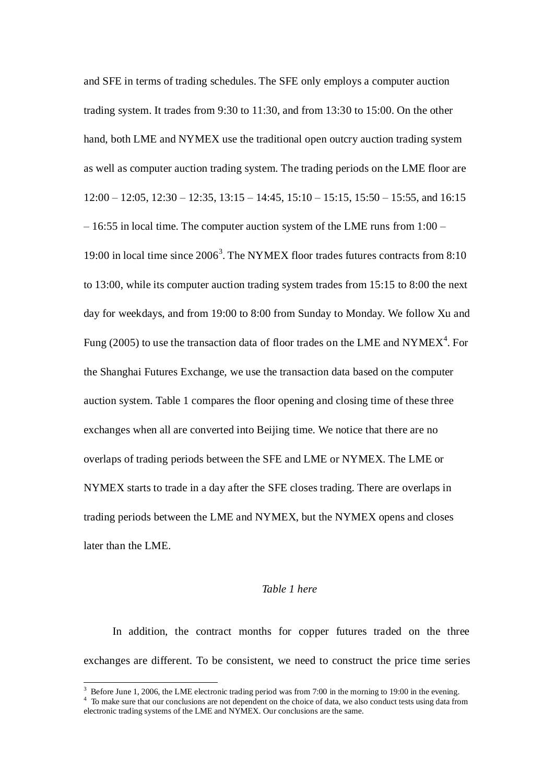and SFE in terms of trading schedules. The SFE only employs a computer auction trading system. It trades from 9:30 to 11:30, and from 13:30 to 15:00. On the other hand, both LME and NYMEX use the traditional open outcry auction trading system as well as computer auction trading system. The trading periods on the LME floor are  $12:00 - 12:05$ ,  $12:30 - 12:35$ ,  $13:15 - 14:45$ ,  $15:10 - 15:15$ ,  $15:50 - 15:55$ , and  $16:15$ – 16:55 in local time. The computer auction system of the LME runs from 1:00 – 19:00 in local time since 2006<sup>3</sup>. The NYMEX floor trades futures contracts from 8:10 to 13:00, while its computer auction trading system trades from 15:15 to 8:00 the next day for weekdays, and from 19:00 to 8:00 from Sunday to Monday. We follow Xu and Fung (2005) to use the transaction data of floor trades on the LME and NYMEX<sup>4</sup>. For the Shanghai Futures Exchange, we use the transaction data based on the computer auction system. Table 1 compares the floor opening and closing time of these three exchanges when all are converted into Beijing time. We notice that there are no overlaps of trading periods between the SFE and LME or NYMEX. The LME or NYMEX starts to trade in a day after the SFE closes trading. There are overlaps in trading periods between the LME and NYMEX, but the NYMEX opens and closes later than the LME.

## *Table 1 here*

In addition, the contract months for copper futures traded on the three exchanges are different. To be consistent, we need to construct the price time series

<sup>&</sup>lt;sup>3</sup> Before June 1, 2006, the LME electronic trading period was from 7:00 in the morning to 19:00 in the evening.

<sup>&</sup>lt;sup>4</sup> To make sure that our conclusions are not dependent on the choice of data, we also conduct tests using data from electronic trading systems of the LME and NYMEX. Our conclusions are the same.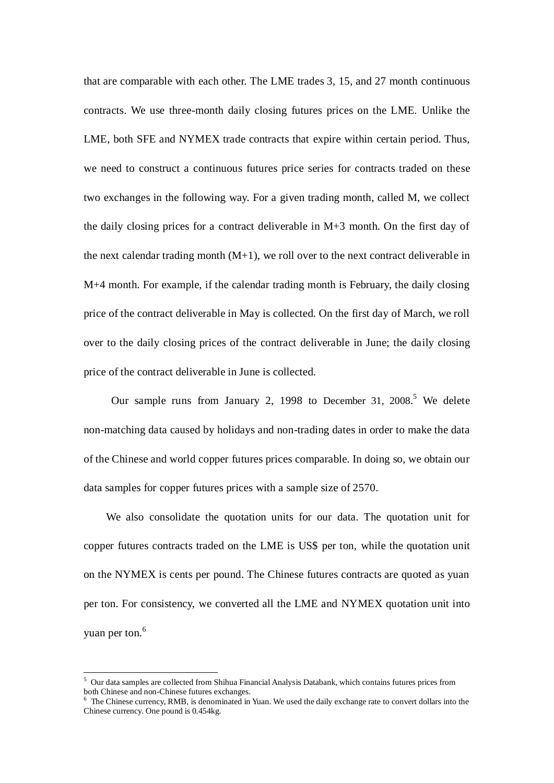that are comparable with each other. The LME trades 3, 15, and 27 month continuous contracts. We use three-month daily closing futures prices on the LME. Unlike the LME, both SFE and NYMEX trade contracts that expire within certain period. Thus, we need to construct a continuous futures price series for contracts traded on these two exchanges in the following way. For a given trading month, called M, we collect the daily closing prices for a contract deliverable in M+3 month. On the first day of the next calendar trading month  $(M+1)$ , we roll over to the next contract deliverable in M+4 month. For example, if the calendar trading month is February, the daily closing price of the contract deliverable in May is collected. On the first day of March, we roll over to the daily closing prices of the contract deliverable in June; the daily closing price of the contract deliverable in June is collected.

Our sample runs from January 2, 1998 to December 31, 2008.<sup>5</sup> We delete non-matching data caused by holidays and non-trading dates in order to make the data of the Chinese and world copper futures prices comparable. In doing so, we obtain our data samples for copper futures prices with a sample size of 2570.

We also consolidate the quotation units for our data. The quotation unit for copper futures contracts traded on the LME is US\$ per ton, while the quotation unit on the NYMEX is cents per pound. The Chinese futures contracts are quoted as yuan per ton. For consistency, we converted all the LME and NYMEX quotation unit into yuan per ton.<sup>6</sup>

<sup>5</sup> Our data samples are collected from Shihua Financial Analysis Databank, which contains futures prices from both Chinese and non-Chinese futures exchanges.

<sup>&</sup>lt;sup>6</sup> The Chinese currency, RMB, is denominated in Yuan. We used the daily exchange rate to convert dollars into the Chinese currency. One pound is 0.454kg.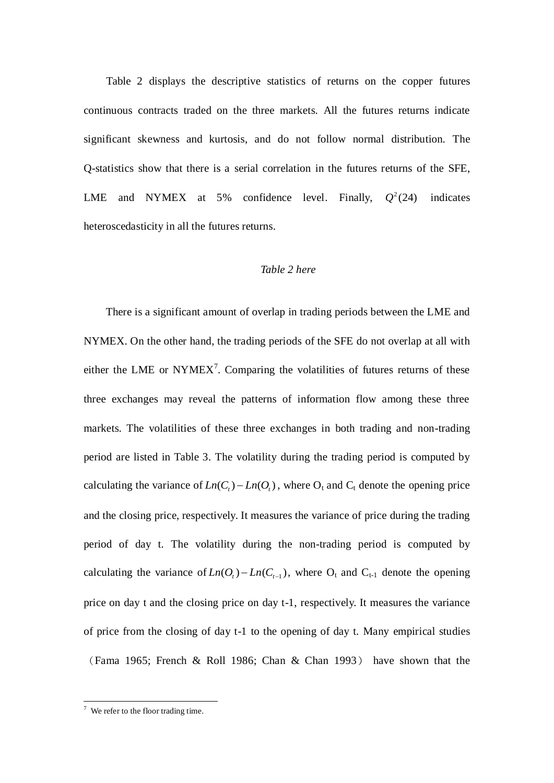Table 2 displays the descriptive statistics of returns on the copper futures continuous contracts traded on the three markets. All the futures returns indicate significant skewness and kurtosis, and do not follow normal distribution. The Q-statistics show that there is a serial correlation in the futures returns of the SFE, LME and NYMEX at  $5\%$ confidence level. Finally,  $Q^2(24)$ indicates heteroscedasticity in all the futures returns.

## *Table 2 here*

There is a significant amount of overlap in trading periods between the LME and NYMEX. On the other hand, the trading periods of the SFE do not overlap at all with either the LME or NYMEX<sup>7</sup>. Comparing the volatilities of futures returns of these three exchanges may reveal the patterns of information flow among these three markets. The volatilities of these three exchanges in both trading and non-trading period are listed in Table 3. The volatility during the trading period is computed by calculating the variance of  $Ln(C_t) - Ln(O_t)$ , where  $O_t$  and  $C_t$  denote the opening price and the closing price, respectively. It measures the variance of price during the trading period of day t. The volatility during the non-trading period is computed by calculating the variance of  $Ln(O_t) - Ln(C_{t-1})$ , where  $O_t$  and  $C_{t-1}$  denote the opening price on day t and the closing price on day t-1, respectively. It measures the variance of price from the closing of day t-1 to the opening of day t. Many empirical studies (Fama 1965; French & Roll 1986; Chan & Chan 1993) have shown that the

 $7$  We refer to the floor trading time.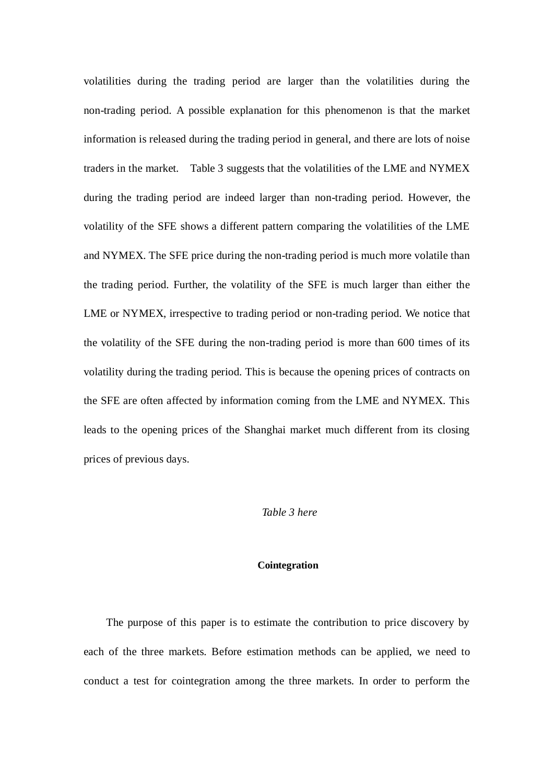volatilities during the trading period are larger than the volatilities during the non-trading period. A possible explanation for this phenomenon is that the market information is released during the trading period in general, and there are lots of noise traders in the market. Table 3 suggests that the volatilities of the LME and NYMEX during the trading period are indeed larger than non-trading period. However, the volatility of the SFE shows a different pattern comparing the volatilities of the LME and NYMEX. The SFE price during the non-trading period is much more volatile than the trading period. Further, the volatility of the SFE is much larger than either the LME or NYMEX, irrespective to trading period or non-trading period. We notice that the volatility of the SFE during the non-trading period is more than 600 times of its volatility during the trading period. This is because the opening prices of contracts on the SFE are often affected by information coming from the LME and NYMEX. This leads to the opening prices of the Shanghai market much different from its closing prices of previous days.

#### *Table 3 here*

## **Cointegration**

The purpose of this paper is to estimate the contribution to price discovery by each of the three markets. Before estimation methods can be applied, we need to conduct a test for cointegration among the three markets. In order to perform the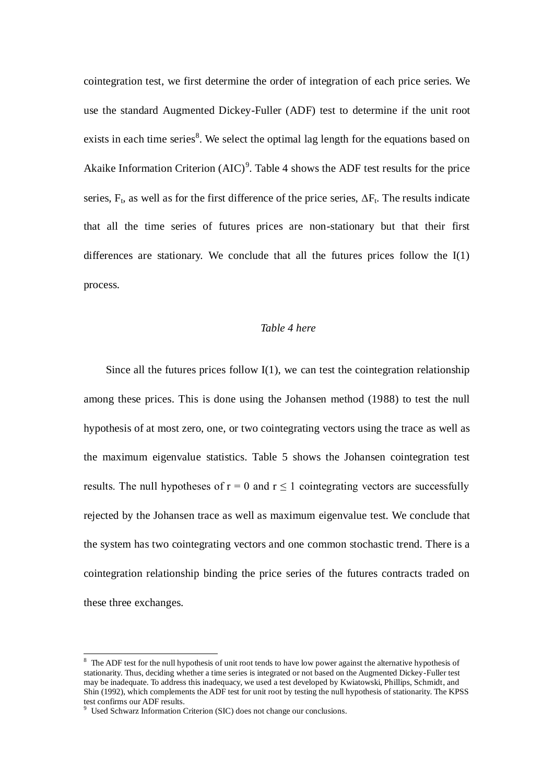cointegration test, we first determine the order of integration of each price series. We use the standard Augmented Dickey-Fuller (ADF) test to determine if the unit root exists in each time series<sup>8</sup>. We select the optimal lag length for the equations based on Akaike Information Criterion  $(AIC)^9$ . Table 4 shows the ADF test results for the price series,  $F_t$ , as well as for the first difference of the price series,  $\Delta F_t$ . The results indicate that all the time series of futures prices are non-stationary but that their first differences are stationary. We conclude that all the futures prices follow the I(1) process.

### *Table 4 here*

Since all the futures prices follow  $I(1)$ , we can test the cointegration relationship among these prices. This is done using the Johansen method (1988) to test the null hypothesis of at most zero, one, or two cointegrating vectors using the trace as well as the maximum eigenvalue statistics. Table 5 shows the Johansen cointegration test results. The null hypotheses of  $r = 0$  and  $r \le 1$  cointegrating vectors are successfully rejected by the Johansen trace as well as maximum eigenvalue test. We conclude that the system has two cointegrating vectors and one common stochastic trend. There is a cointegration relationship binding the price series of the futures contracts traded on these three exchanges.

 $8\text{ The ADF test for the null hypothesis of unit root tends to have low power against the alternative hypothesis of the system.}$ stationarity. Thus, deciding whether a time series is integrated or not based on the Augmented Dickey-Fuller test may be inadequate. To address this inadequacy, we used a test developed by Kwiatowski, Phillips, Schmidt, and Shin (1992), which complements the ADF test for unit root by testing the null hypothesis of stationarity. The KPSS test confirms our ADF results.

<sup>&</sup>lt;sup>9</sup> Used Schwarz Information Criterion (SIC) does not change our conclusions.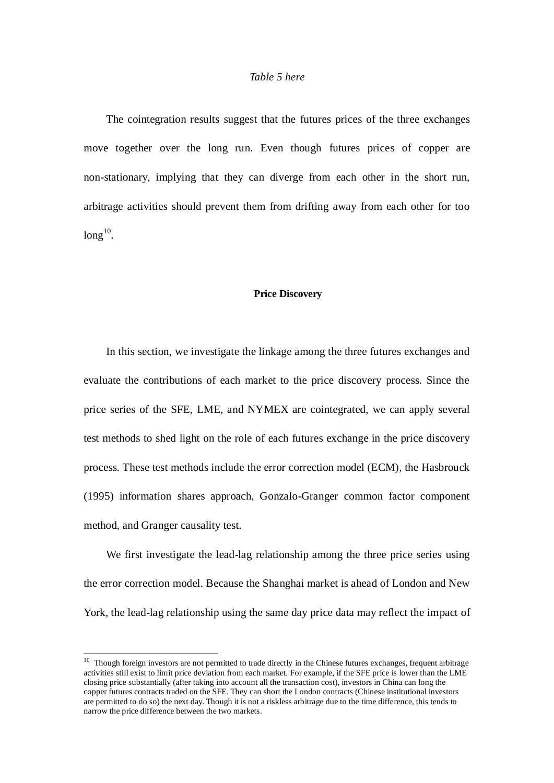## *Table 5 here*

The cointegration results suggest that the futures prices of the three exchanges move together over the long run. Even though futures prices of copper are non-stationary, implying that they can diverge from each other in the short run, arbitrage activities should prevent them from drifting away from each other for too  $long^{10}$ .

#### **Price Discovery**

In this section, we investigate the linkage among the three futures exchanges and evaluate the contributions of each market to the price discovery process. Since the price series of the SFE, LME, and NYMEX are cointegrated, we can apply several test methods to shed light on the role of each futures exchange in the price discovery process. These test methods include the error correction model (ECM), the Hasbrouck (1995) information shares approach, Gonzalo-Granger common factor component method, and Granger causality test.

We first investigate the lead-lag relationship among the three price series using the error correction model. Because the Shanghai market is ahead of London and New York, the lead-lag relationship using the same day price data may reflect the impact of

 $10$  Though foreign investors are not permitted to trade directly in the Chinese futures exchanges, frequent arbitrage activities still exist to limit price deviation from each market. For example, if the SFE price is lower than the LME closing price substantially (after taking into account all the transaction cost), investors in China can long the copper futures contracts traded on the SFE. They can short the London contracts (Chinese institutional investors are permitted to do so) the next day. Though it is not a riskless arbitrage due to the time difference, this tends to narrow the price difference between the two markets.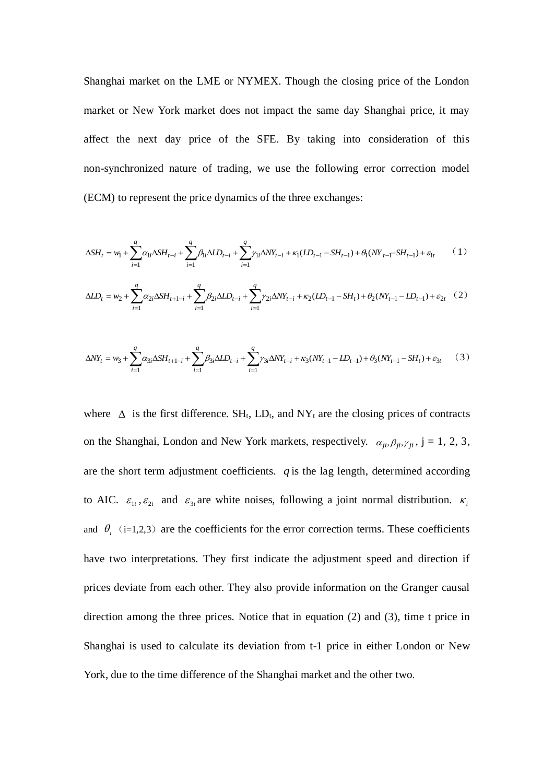Shanghai market on the LME or NYMEX. Though the closing price of the London market or New York market does not impact the same day Shanghai price, it may affect the next day price of the SFE. By taking into consideration of this non-synchronized nature of trading, we use the following error correction model (ECM) to represent the price dynamics of the three exchanges:

$$
\Delta SH_t = w_1 + \sum_{i=1}^q \alpha_{1i} \Delta SH_{t-i} + \sum_{i=1}^q \beta_{1i} \Delta ID_{t-i} + \sum_{i=1}^q \gamma_{1i} \Delta NY_{t-i} + \kappa_1 (LD_{t-1} - SH_{t-1}) + \theta_1 (NY_{t-1} - SH_{t-1}) + \varepsilon_{1t}
$$
 (1)

$$
\Delta ID_t = w_2 + \sum_{i=1}^q \alpha_{2i} \Delta SH_{t+1-i} + \sum_{i=1}^q \beta_{2i} \Delta ID_{t-i} + \sum_{i=1}^q \gamma_{2i} \Delta NY_{t-i} + \kappa_2 (LD_{t-1} - SH_t) + \theta_2 (NY_{t-1} - LD_{t-1}) + \varepsilon_{2t} \quad (2)
$$

$$
\Delta N Y_t = w_3 + \sum_{i=1}^q \alpha_{3i} \Delta S H_{t+1-i} + \sum_{i=1}^q \beta_{3i} \Delta I D_{t-i} + \sum_{i=1}^q \gamma_{3i} \Delta N Y_{t-i} + \kappa_3 (N Y_{t-1} - I D_{t-1}) + \theta_3 (N Y_{t-1} - S H_t) + \varepsilon_{3t} \tag{3}
$$

where  $\Delta$  is the first difference. SH<sub>t</sub>, LD<sub>t</sub>, and NY<sub>t</sub> are the closing prices of contracts on the Shanghai, London and New York markets, respectively.  $\alpha_{ji}, \beta_{ji}, \gamma_{ji}$ ,  $j = 1, 2, 3$ , are the short term adjustment coefficients.  $q$  is the lag length, determined according to AIC.  $\varepsilon_{1t}$ ,  $\varepsilon_{2t}$  and  $\varepsilon_{3t}$  are white noises, following a joint normal distribution.  $\kappa_i$ and  $\theta_i$  (i=1,2,3) are the coefficients for the error correction terms. These coefficients have two interpretations. They first indicate the adjustment speed and direction if prices deviate from each other. They also provide information on the Granger causal direction among the three prices. Notice that in equation (2) and (3), time t price in Shanghai is used to calculate its deviation from t-1 price in either London or New York, due to the time difference of the Shanghai market and the other two.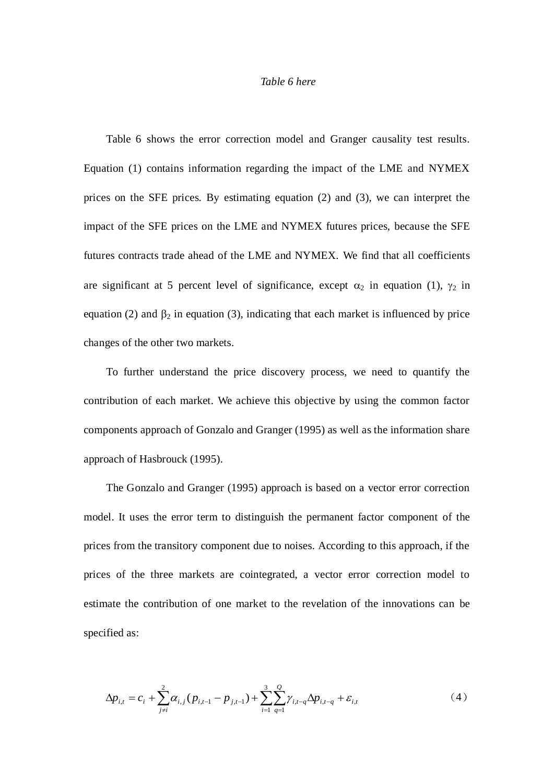#### *Table 6 here*

Table 6 shows the error correction model and Granger causality test results. Equation (1) contains information regarding the impact of the LME and NYMEX prices on the SFE prices. By estimating equation (2) and (3), we can interpret the impact of the SFE prices on the LME and NYMEX futures prices, because the SFE futures contracts trade ahead of the LME and NYMEX. We find that all coefficients are significant at 5 percent level of significance, except  $\alpha_2$  in equation (1),  $\gamma_2$  in equation (2) and  $\beta_2$  in equation (3), indicating that each market is influenced by price changes of the other two markets.

To further understand the price discovery process, we need to quantify the contribution of each market. We achieve this objective by using the common factor components approach of Gonzalo and Granger (1995) as well as the information share approach of Hasbrouck (1995).

The Gonzalo and Granger (1995) approach is based on a vector error correction model. It uses the error term to distinguish the permanent factor component of the prices from the transitory component due to noises. According to this approach, if the prices of the three markets are cointegrated, a vector error correction model to estimate the contribution of one market to the revelation of the innovations can be specified as:

$$
\Delta p_{i,t} = c_i + \sum_{j \neq i}^{2} \alpha_{i,j} (p_{i,t-1} - p_{j,t-1}) + \sum_{i=1}^{3} \sum_{q=1}^{Q} \gamma_{i,t-q} \Delta p_{i,t-q} + \varepsilon_{i,t}
$$
\n(4)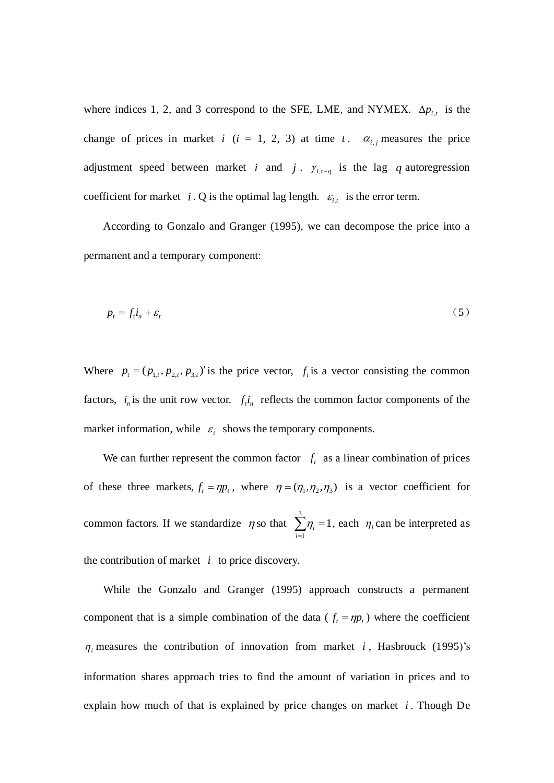where indices 1, 2, and 3 correspond to the SFE, LME, and NYMEX.  $\Delta p_{i,t}$  is the change of prices in market  $i$  ( $i = 1, 2, 3$ ) at time  $t$ .  $\alpha_{i,j}$  measures the price adjustment speed between market *i* and *j*.  $\gamma_{i,t-q}$  is the lag *q* autoregression coefficient for market *i*. Q is the optimal lag length.  $\varepsilon_{i,t}$  is the error term.

According to Gonzalo and Granger (1995), we can decompose the price into a permanent and a temporary component:

$$
p_t = f_t i_n + \varepsilon_t \tag{5}
$$

Where  $p_t = (p_{1,t}, p_{2,t}, p_{3,t})'$  is the price vector,  $f_t$  is a vector consisting the common factors,  $i_n$  is the unit row vector.  $f_i i_n$  reflects the common factor components of the market information, while  $\varepsilon_t$  shows the temporary components.

We can further represent the common factor  $f_t$  as a linear combination of prices of these three markets,  $f_t = \eta p_t$ , where  $\eta = (\eta_1, \eta_2, \eta_3)$  is a vector coefficient for common factors. If we standardize  $\eta$  so that  $\sum_{i=1}^{3} \eta_i =$ 1 1 *i*  $\eta_i = 1$ , each  $\eta_i$  can be interpreted as the contribution of market  $i$  to price discovery.

While the Gonzalo and Granger (1995) approach constructs a permanent component that is a simple combination of the data ( $f_t = \eta p_t$ ) where the coefficient  $\eta$ <sub>i</sub> measures the contribution of innovation from market *i*, Hasbrouck (1995)'s information shares approach tries to find the amount of variation in prices and to explain how much of that is explained by price changes on market *i* . Though De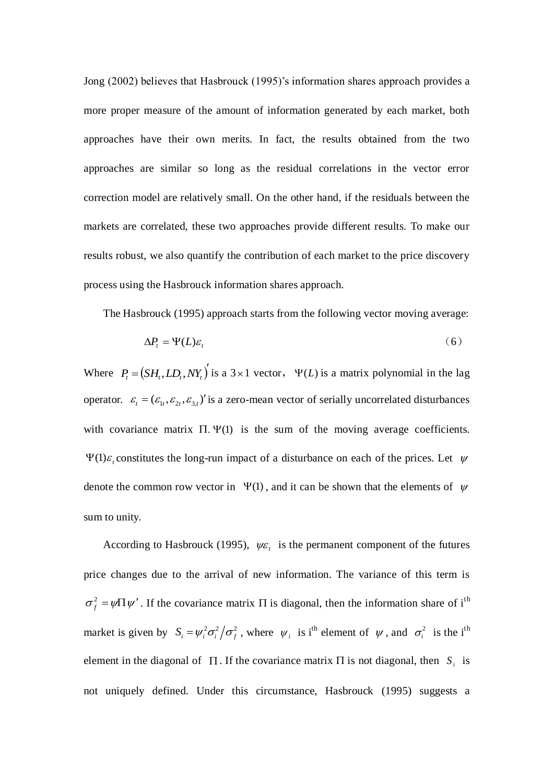Jong (2002) believes that Hasbrouck (1995)'s information shares approach provides a more proper measure of the amount of information generated by each market, both approaches have their own merits. In fact, the results obtained from the two approaches are similar so long as the residual correlations in the vector error correction model are relatively small. On the other hand, if the residuals between the markets are correlated, these two approaches provide different results. To make our results robust, we also quantify the contribution of each market to the price discovery process using the Hasbrouck information shares approach.

The Hasbrouck (1995) approach starts from the following vector moving average:

$$
\Delta P_t = \Psi(L)\varepsilon_t \tag{6}
$$

Where  $P_t = (SH_t, LD_t, NY_t)$  is a 3 × 1 vector,  $\Psi(L)$  is a matrix polynomial in the lag operator.  $\varepsilon_t = (\varepsilon_{1t}, \varepsilon_{2t}, \varepsilon_{3t})'$  is a zero-mean vector of serially uncorrelated disturbances with covariance matrix  $\Pi$ .  $\Psi(1)$  is the sum of the moving average coefficients.  $\Psi(1)\varepsilon$ , constitutes the long-run impact of a disturbance on each of the prices. Let  $\psi$ denote the common row vector in  $\Psi(1)$ , and it can be shown that the elements of  $\psi$ sum to unity.

According to Hasbrouck (1995),  $\psi \varepsilon_t$  is the permanent component of the futures price changes due to the arrival of new information. The variance of this term is  $\sigma_f^2 = \psi \Pi \psi'$  $f_f^2 = \psi \Pi \psi'$ . If the covariance matrix  $\Pi$  is diagonal, then the information share of i<sup>th</sup> market is given by  $S_i = \psi_i^2 \sigma_i^2 / \sigma_f^2$ , where  $\psi_i$  is i<sup>th</sup> element of  $\psi$ , and  $\sigma_i^2$  is the i<sup>th</sup> element in the diagonal of  $\Pi$ . If the covariance matrix  $\Pi$  is not diagonal, then  $S_i$  is not uniquely defined. Under this circumstance, Hasbrouck (1995) suggests a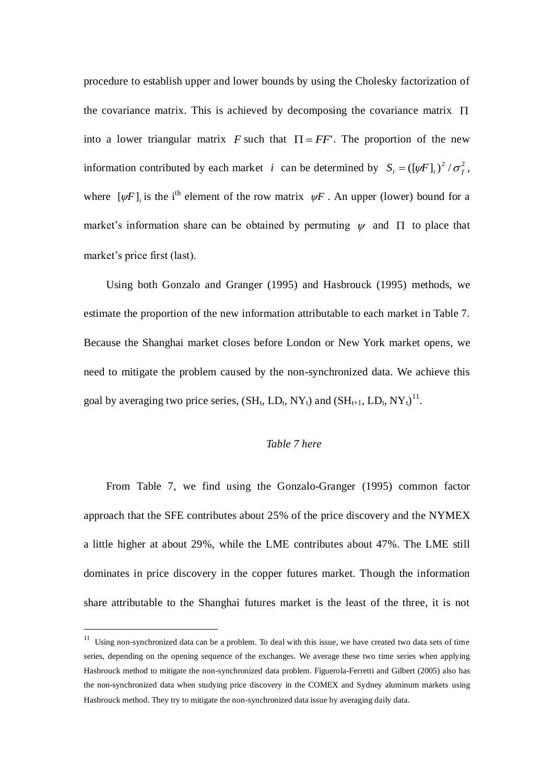procedure to establish upper and lower bounds by using the Cholesky factorization of the covariance matrix. This is achieved by decomposing the covariance matrix  $\Pi$ into a lower triangular matrix F such that  $\Pi = FF'$ . The proportion of the new information contributed by each market *i* can be determined by  $S_i = (\llbracket \psi F \rrbracket_i)^2 / \sigma_f^2$ , where  $[\psi F]_i$  is the i<sup>th</sup> element of the row matrix  $\psi F$ . An upper (lower) bound for a market's information share can be obtained by permuting  $\psi$  and  $\Pi$  to place that market's price first (last).

Using both Gonzalo and Granger (1995) and Hasbrouck (1995) methods, we estimate the proportion of the new information attributable to each market in Table 7. Because the Shanghai market closes before London or New York market opens, we need to mitigate the problem caused by the non-synchronized data. We achieve this goal by averaging two price series,  $(SH_t, LD_t, NY_t)$  and  $(SH_{t+1}, LD_t, NY_t)^{11}$ .

# *Table 7 here*

From Table 7, we find using the Gonzalo-Granger (1995) common factor approach that the SFE contributes about 25% of the price discovery and the NYMEX a little higher at about 29%, while the LME contributes about 47%. The LME still dominates in price discovery in the copper futures market. Though the information share attributable to the Shanghai futures market is the least of the three, it is not

 $11$  Using non-synchronized data can be a problem. To deal with this issue, we have created two data sets of time series, depending on the opening sequence of the exchanges. We average these two time series when applying Hasbrouck method to mitigate the non-synchronized data problem. Figuerola-Ferretti and Gilbert (2005) also has the non-synchronized data when studying price discovery in the COMEX and Sydney aluminum markets using Hasbrouck method. They try to mitigate the non-synchronized data issue by averaging daily data.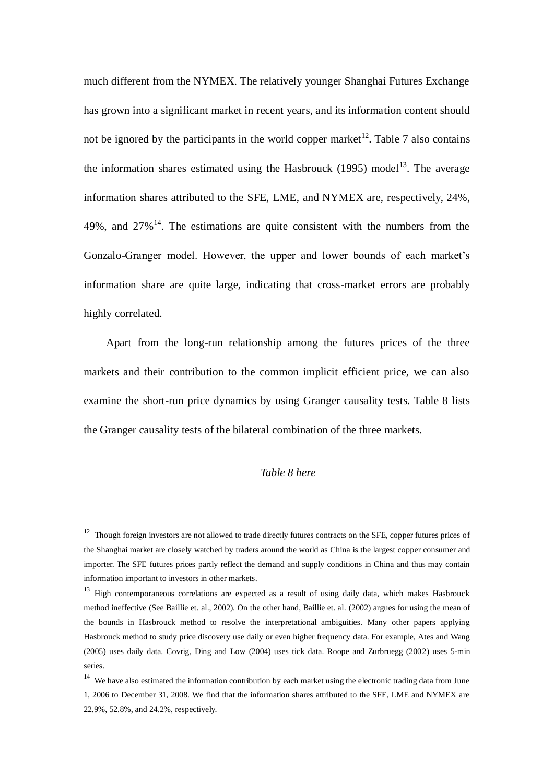much different from the NYMEX. The relatively younger Shanghai Futures Exchange has grown into a significant market in recent years, and its information content should not be ignored by the participants in the world copper market<sup>12</sup>. Table 7 also contains the information shares estimated using the Hasbrouck (1995) model<sup>13</sup>. The average information shares attributed to the SFE, LME, and NYMEX are, respectively, 24%, 49%, and  $27\%$ <sup>14</sup>. The estimations are quite consistent with the numbers from the Gonzalo-Granger model. However, the upper and lower bounds of each market's information share are quite large, indicating that cross-market errors are probably highly correlated.

Apart from the long-run relationship among the futures prices of the three markets and their contribution to the common implicit efficient price, we can also examine the short-run price dynamics by using Granger causality tests. Table 8 lists the Granger causality tests of the bilateral combination of the three markets.

## *Table 8 here*

<sup>&</sup>lt;sup>12</sup> Though foreign investors are not allowed to trade directly futures contracts on the SFE, copper futures prices of the Shanghai market are closely watched by traders around the world as China is the largest copper consumer and importer. The SFE futures prices partly reflect the demand and supply conditions in China and thus may contain information important to investors in other markets.

<sup>&</sup>lt;sup>13</sup> High contemporaneous correlations are expected as a result of using daily data, which makes Hasbrouck method ineffective (See Baillie et. al., 2002). On the other hand, Baillie et. al. (2002) argues for using the mean of the bounds in Hasbrouck method to resolve the interpretational ambiguities. Many other papers applying Hasbrouck method to study price discovery use daily or even higher frequency data. For example, Ates and Wang (2005) uses daily data. Covrig, Ding and Low (2004) uses tick data. Roope and Zurbruegg (2002) uses 5-min series.

<sup>&</sup>lt;sup>14</sup> We have also estimated the information contribution by each market using the electronic trading data from June 1, 2006 to December 31, 2008. We find that the information shares attributed to the SFE, LME and NYMEX are 22.9%, 52.8%, and 24.2%, respectively.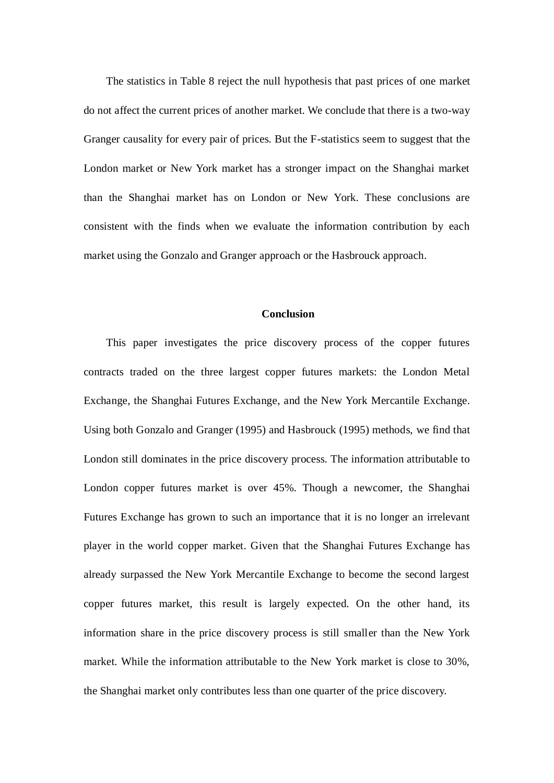The statistics in Table 8 reject the null hypothesis that past prices of one market do not affect the current prices of another market. We conclude that there is a two-way Granger causality for every pair of prices. But the F-statistics seem to suggest that the London market or New York market has a stronger impact on the Shanghai market than the Shanghai market has on London or New York. These conclusions are consistent with the finds when we evaluate the information contribution by each market using the Gonzalo and Granger approach or the Hasbrouck approach.

## **Conclusion**

This paper investigates the price discovery process of the copper futures contracts traded on the three largest copper futures markets: the London Metal Exchange, the Shanghai Futures Exchange, and the New York Mercantile Exchange. Using both Gonzalo and Granger (1995) and Hasbrouck (1995) methods, we find that London still dominates in the price discovery process. The information attributable to London copper futures market is over 45%. Though a newcomer, the Shanghai Futures Exchange has grown to such an importance that it is no longer an irrelevant player in the world copper market. Given that the Shanghai Futures Exchange has already surpassed the New York Mercantile Exchange to become the second largest copper futures market, this result is largely expected. On the other hand, its information share in the price discovery process is still smaller than the New York market. While the information attributable to the New York market is close to 30%, the Shanghai market only contributes less than one quarter of the price discovery.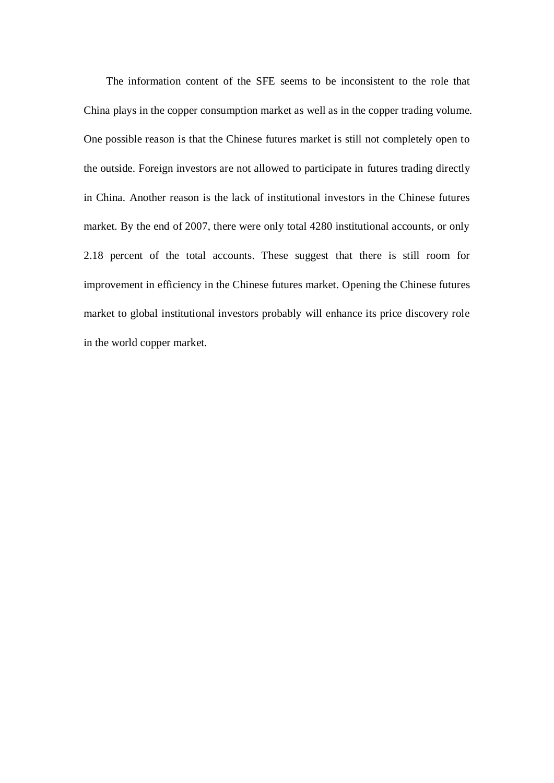The information content of the SFE seems to be inconsistent to the role that China plays in the copper consumption market as well as in the copper trading volume. One possible reason is that the Chinese futures market is still not completely open to the outside. Foreign investors are not allowed to participate in futures trading directly in China. Another reason is the lack of institutional investors in the Chinese futures market. By the end of 2007, there were only total 4280 institutional accounts, or only 2.18 percent of the total accounts. These suggest that there is still room for improvement in efficiency in the Chinese futures market. Opening the Chinese futures market to global institutional investors probably will enhance its price discovery role in the world copper market.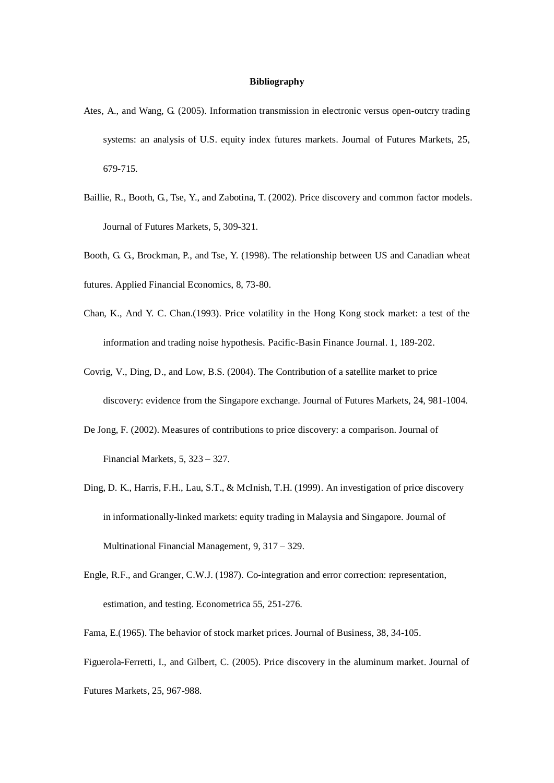#### **Bibliography**

- Ates, A., and Wang, G. (2005). Information transmission in electronic versus open-outcry trading systems: an analysis of U.S. equity index futures markets. Journal of Futures Markets, 25, 679-715.
- Baillie, R., Booth, G., Tse, Y., and Zabotina, T. (2002). Price discovery and common factor models. Journal of Futures Markets, 5, 309-321.
- Booth, G. G., Brockman, P., and Tse, Y. (1998). The relationship between US and Canadian wheat futures. Applied Financial Economics, 8, 73-80.
- Chan, K., And Y. C. Chan.(1993). Price volatility in the Hong Kong stock market: a test of the information and trading noise hypothesis. Pacific-Basin Finance Journal. 1, 189-202.
- Covrig, V., Ding, D., and Low, B.S. (2004). The Contribution of a satellite market to price discovery: evidence from the Singapore exchange. Journal of Futures Markets, 24, 981-1004.
- De Jong, F. (2002). Measures of contributions to price discovery: a comparison. Journal of Financial Markets, 5, 323 – 327.
- Ding, D. K., Harris, F.H., Lau, S.T., & McInish, T.H. (1999). An investigation of price discovery in informationally-linked markets: equity trading in Malaysia and Singapore. Journal of Multinational Financial Management, 9, 317 – 329.
- Engle, R.F., and Granger, C.W.J. (1987). Co-integration and error correction: representation, estimation, and testing. Econometrica 55, 251-276.
- Fama, E.(1965). The behavior of stock market prices. Journal of Business, 38, 34-105.

Figuerola-Ferretti, I., and Gilbert, C. (2005). Price discovery in the aluminum market. Journal of Futures Markets, 25, 967-988.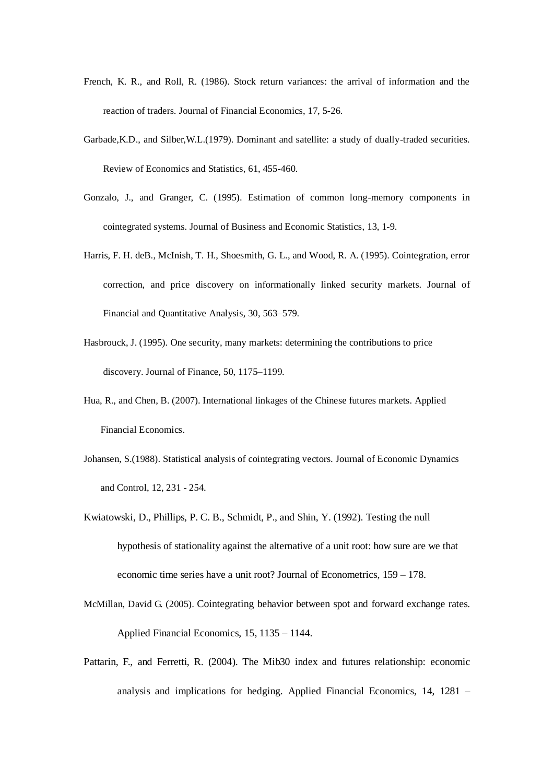- French, K. R., and Roll, R. (1986). Stock return variances: the arrival of information and the reaction of traders. Journal of Financial Economics, 17, 5-26.
- Garbade,K.D., and Silber,W.L.(1979). Dominant and satellite: a study of dually-traded securities. Review of Economics and Statistics, 61, 455-460.
- Gonzalo, J., and Granger, C. (1995). Estimation of common long-memory components in cointegrated systems. Journal of Business and Economic Statistics, 13, 1-9.
- Harris, F. H. deB., McInish, T. H., Shoesmith, G. L., and Wood, R. A. (1995). Cointegration, error correction, and price discovery on informationally linked security markets. Journal of Financial and Quantitative Analysis, 30, 563–579.
- Hasbrouck, J. (1995). One security, many markets: determining the contributions to price discovery. Journal of Finance, 50, 1175–1199.
- Hua, R., and Chen, B. (2007). International linkages of the Chinese futures markets. Applied Financial Economics.
- Johansen, S.(1988). Statistical analysis of cointegrating vectors. Journal of Economic Dynamics and Control, 12, 231 - 254.
- Kwiatowski, D., Phillips, P. C. B., Schmidt, P., and Shin, Y. (1992). Testing the null hypothesis of stationality against the alternative of a unit root: how sure are we that economic time series have a unit root? Journal of Econometrics, 159 – 178.
- McMillan, David G. (2005). Cointegrating behavior between spot and forward exchange rates. Applied Financial Economics, 15, 1135 – 1144.
- Pattarin, F., and Ferretti, R. (2004). The Mib30 index and futures relationship: economic analysis and implications for hedging. Applied Financial Economics, 14, 1281 –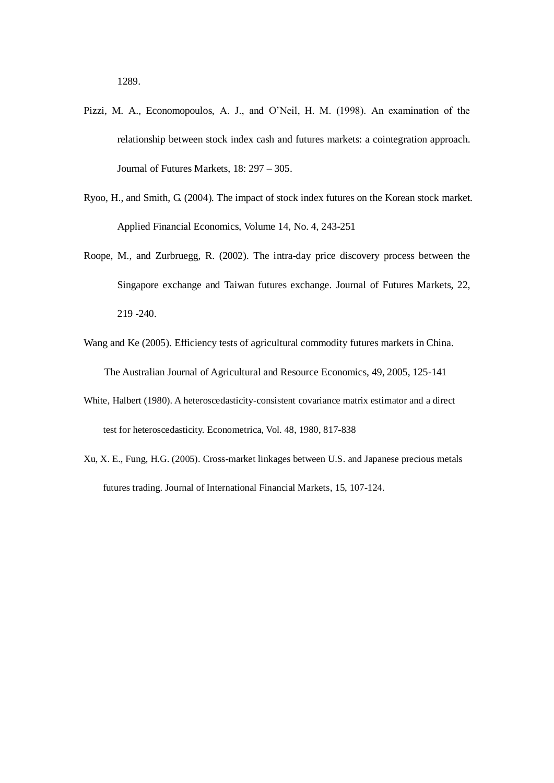- Pizzi, M. A., Economopoulos, A. J., and O'Neil, H. M. (1998). An examination of the relationship between stock index cash and futures markets: a cointegration approach. Journal of Futures Markets, 18: 297 – 305.
- Ryoo, H., and Smith, G. (2004). The impact of stock index futures on the Korean stock market. Applied Financial Economics, Volume 14, No. 4, 243-251
- Roope, M., and Zurbruegg, R. (2002). The intra-day price discovery process between the Singapore exchange and Taiwan futures exchange. Journal of Futures Markets, 22, 219 -240.
- Wang and Ke (2005). Efficiency tests of agricultural commodity futures markets in China. The Australian Journal of Agricultural and Resource Economics, 49, 2005, 125-141
- White, Halbert (1980). A heteroscedasticity-consistent covariance matrix estimator and a direct test for heteroscedasticity. Econometrica, Vol. 48, 1980, 817-838
- Xu, X. E., Fung, H.G. (2005). Cross-market linkages between U.S. and Japanese precious metals futures trading. Journal of International Financial Markets, 15, 107-124.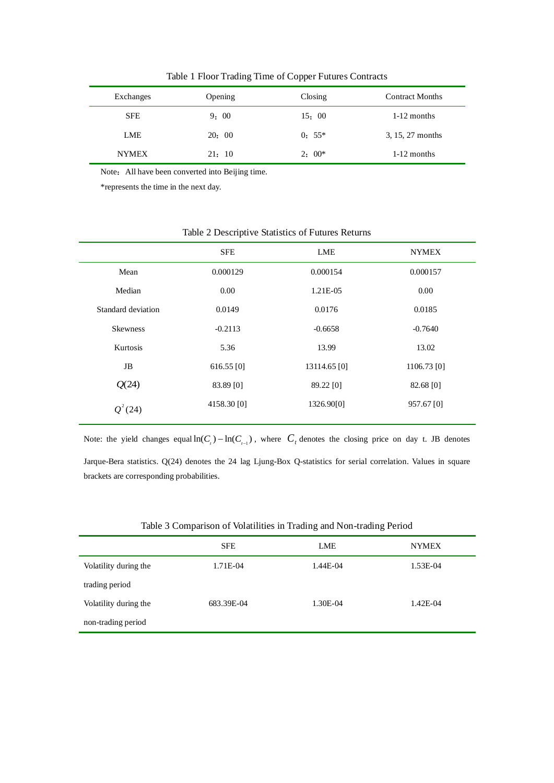| Exchanges  | Opening | Closing  | <b>Contract Months</b> |
|------------|---------|----------|------------------------|
| <b>SFE</b> | 9:00    | 15:00    | $1-12$ months          |
| LME        | 20:00   | $0: 55*$ | 3, 15, 27 months       |

NYMEX 21: 10 2: 00\* 1-12 months

Table 1 Floor Trading Time of Copper Futures Contracts

Note: All have been converted into Beijing time.

\*represents the time in the next day.

|                    | <b>SFE</b>   | LME          | <b>NYMEX</b>  |
|--------------------|--------------|--------------|---------------|
| Mean               | 0.000129     | 0.000154     | 0.000157      |
| Median             | 0.00         | 1.21E-05     | 0.00          |
| Standard deviation | 0.0149       | 0.0176       | 0.0185        |
| <b>Skewness</b>    | $-0.2113$    | $-0.6658$    | $-0.7640$     |
| Kurtosis           | 5.36         | 13.99        | 13.02         |
| JB                 | $616.55$ [0] | 13114.65 [0] | $1106.73$ [0] |
| Q(24)              | 83.89 [0]    | 89.22 [0]    | 82.68 [0]     |
| $Q^2(24)$          | 4158.30 [0]  | 1326.90[0]   | 957.67 [0]    |

#### Table 2 Descriptive Statistics of Futures Returns

Note: the yield changes equal  $\ln(C_i) - \ln(C_{i-1})$ , where  $C_i$  denotes the closing price on day t. JB denotes Jarque-Bera statistics. Q(24) denotes the 24 lag Ljung-Box Q-statistics for serial correlation. Values in square brackets are corresponding probabilities.

|                       | <b>SFE</b> | <b>LME</b> | <b>NYMEX</b> |
|-----------------------|------------|------------|--------------|
| Volatility during the | 1.71E-04   | 1.44E-04   | 1.53E-04     |
| trading period        |            |            |              |
| Volatility during the | 683.39E-04 | 1.30E-04   | 1.42E-04     |
| non-trading period    |            |            |              |

#### Table 3 Comparison of Volatilities in Trading and Non-trading Period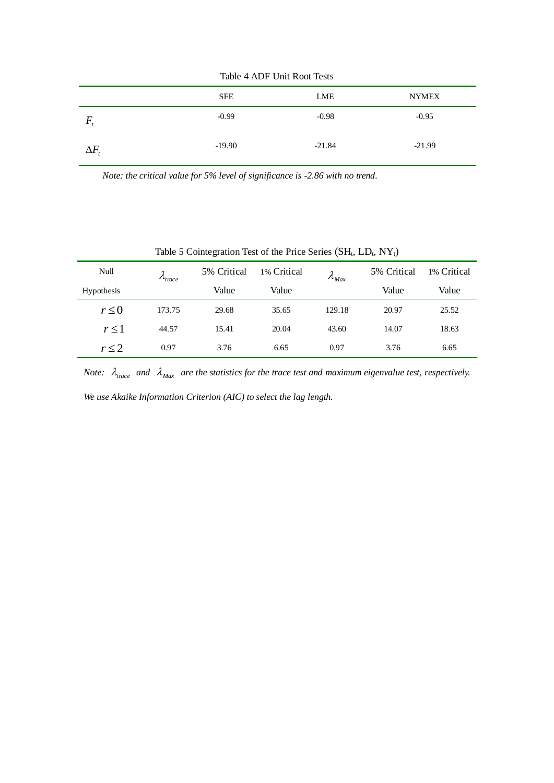| $14010 + 1210 + 01111 + 10000 + 10000$ |          |          |              |  |
|----------------------------------------|----------|----------|--------------|--|
|                                        | SFE      | LME      | <b>NYMEX</b> |  |
| $\mathbf{r}$                           | $-0.99$  | $-0.98$  | $-0.95$      |  |
| $\Delta F$                             | $-19.90$ | $-21.84$ | $-21.99$     |  |

Table 4 ADF Unit Root Tests

*Note: the critical value for 5% level of significance is -2.86 with no trend.*

Table 5 Cointegration Test of the Price Series  $(SH_t, LD_t, NY_t)$ 

| Null              | $\lambda_{trace}$ | 5% Critical | 1% Critical | $\lambda_{\text{Max}}$ | 5% Critical | 1% Critical |
|-------------------|-------------------|-------------|-------------|------------------------|-------------|-------------|
| <b>Hypothesis</b> |                   | Value       | Value       |                        | Value       | Value       |
| $r \leq 0$        | 173.75            | 29.68       | 35.65       | 129.18                 | 20.97       | 25.52       |
| $r \leq 1$        | 44.57             | 15.41       | 20.04       | 43.60                  | 14.07       | 18.63       |
| $r \leq 2$        | 0.97              | 3.76        | 6.65        | 0.97                   | 3.76        | 6.65        |

*Note:*  $\lambda_{\text{trace}}$  and  $\lambda_{\text{Max}}$  are the statistics for the trace test and maximum eigenvalue test, respectively.

*We use Akaike Information Criterion (AIC) to select the lag length.*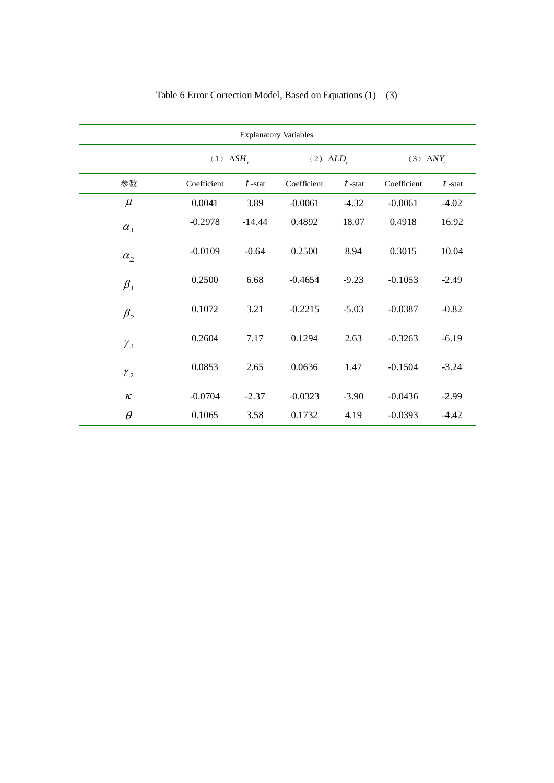| <b>Explanatory Variables</b> |                 |           |             |                      |             |                  |  |
|------------------------------|-----------------|-----------|-------------|----------------------|-------------|------------------|--|
|                              | $(1) \Delta SH$ |           |             | (2) $\triangle LD$ , |             | (3) $\Delta N Y$ |  |
| 参数                           | Coefficient     | $t$ -stat | Coefficient | $t$ -stat            | Coefficient | $t$ -stat        |  |
| $\mu$                        | 0.0041          | 3.89      | $-0.0061$   | $-4.32$              | $-0.0061$   | $-4.02$          |  |
| $\alpha_{1}$                 | $-0.2978$       | $-14.44$  | 0.4892      | 18.07                | 0.4918      | 16.92            |  |
| $\alpha_{2}$                 | $-0.0109$       | $-0.64$   | 0.2500      | 8.94                 | 0.3015      | 10.04            |  |
| $\beta_{.1}$                 | 0.2500          | 6.68      | $-0.4654$   | $-9.23$              | $-0.1053$   | $-2.49$          |  |
| $\beta_{.2}$                 | 0.1072          | 3.21      | $-0.2215$   | $-5.03$              | $-0.0387$   | $-0.82$          |  |
| $\gamma_{.1}$                | 0.2604          | 7.17      | 0.1294      | 2.63                 | $-0.3263$   | $-6.19$          |  |
| $\gamma_{.2}$                | 0.0853          | 2.65      | 0.0636      | 1.47                 | $-0.1504$   | $-3.24$          |  |
| $\kappa$                     | $-0.0704$       | $-2.37$   | $-0.0323$   | $-3.90$              | $-0.0436$   | $-2.99$          |  |
| $\theta$                     | 0.1065          | 3.58      | 0.1732      | 4.19                 | $-0.0393$   | $-4.42$          |  |

Table 6 Error Correction Model, Based on Equations  $(1) - (3)$